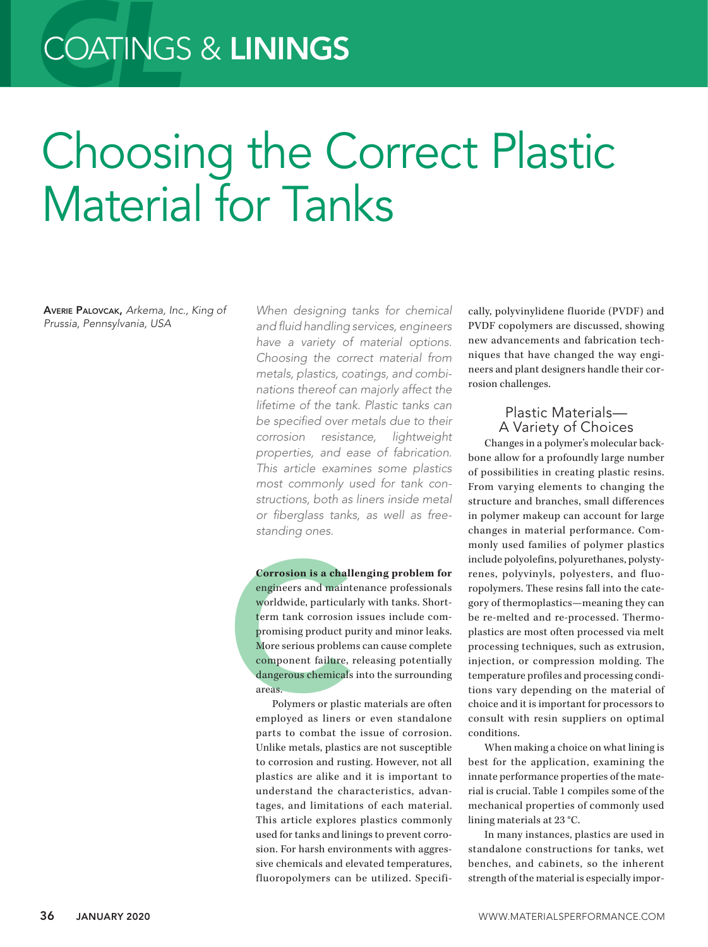# Choosing the Correct Plastic Material for Tanks

Averie Palovcak, *Arkema, Inc., King of Prussia, Pennsylvania, USA*

*When designing tanks for chemical and fluid handling services, engineers have a variety of material options. Choosing the correct material from metals, plastics, coatings, and combinations thereof can majorly affect the lifetime of the tank. Plastic tanks can be specified over metals due to their corrosion resistance, lightweight properties, and ease of fabrication. This article examines some plastics most commonly used for tank constructions, both as liners inside metal or fiberglass tanks, as well as freestanding ones.* 

**Corrosion is a chall**<br>engineers and maint<br>worldwide, particula<br>term tank corrosion<br>promising product pi<br>More serious problen<br>component failure,<br>dangerous chemicals<br>areas.<br>Polymers or plast<br>employed as liners **Corrosion is a challenging problem for**  engineers and maintenance professionals worldwide, particularly with tanks. Shortterm tank corrosion issues include compromising product purity and minor leaks. More serious problems can cause complete component failure, releasing potentially dangerous chemicals into the surrounding areas.

Polymers or plastic materials are often employed as liners or even standalone parts to combat the issue of corrosion. Unlike metals, plastics are not susceptible to corrosion and rusting. However, not all plastics are alike and it is important to understand the characteristics, advantages, and limitations of each material. This article explores plastics commonly used for tanks and linings to prevent corrosion. For harsh environments with aggressive chemicals and elevated temperatures, fluoropolymers can be utilized. Specifically, polyvinylidene fluoride (PVDF) and PVDF copolymers are discussed, showing new advancements and fabrication techniques that have changed the way engineers and plant designers handle their corrosion challenges.

#### Plastic Materials— A Variety of Choices

Changes in a polymer's molecular backbone allow for a profoundly large number of possibilities in creating plastic resins. From varying elements to changing the structure and branches, small differences in polymer makeup can account for large changes in material performance. Commonly used families of polymer plastics include polyolefins, polyurethanes, polystyrenes, polyvinyls, polyesters, and fluoropolymers. These resins fall into the category of thermoplastics—meaning they can be re-melted and re-processed. Thermoplastics are most often processed via melt processing techniques, such as extrusion, injection, or compression molding. The temperature profiles and processing conditions vary depending on the material of choice and it is important for processors to consult with resin suppliers on optimal conditions.

When making a choice on what lining is best for the application, examining the innate performance properties of the material is crucial. Table 1 compiles some of the mechanical properties of commonly used lining materials at 23 °C.

In many instances, plastics are used in standalone constructions for tanks, wet benches, and cabinets, so the inherent strength of the material is especially impor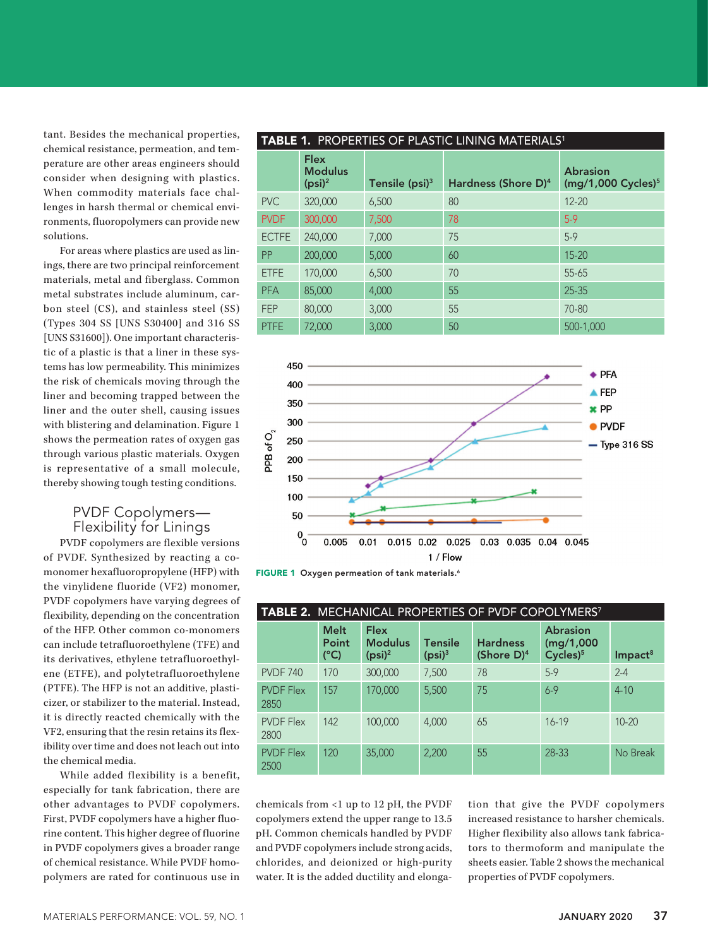tant. Besides the mechanical properties, chemical resistance, permeation, and temperature are other areas engineers should consider when designing with plastics. When commodity materials face challenges in harsh thermal or chemical environments, fluoropolymers can provide new solutions.

For areas where plastics are used as linings, there are two principal reinforcement materials, metal and fiberglass. Common metal substrates include aluminum, carbon steel (CS), and stainless steel (SS) (Types 304 SS [UNS S30400] and 316 SS [UNS S31600]). One important characteristic of a plastic is that a liner in these systems has low permeability. This minimizes the risk of chemicals moving through the liner and becoming trapped between the liner and the outer shell, causing issues with blistering and delamination. Figure 1 shows the permeation rates of oxygen gas through various plastic materials. Oxygen is representative of a small molecule, thereby showing tough testing conditions.

#### PVDF Copolymers— Flexibility for Linings

PVDF copolymers are flexible versions of PVDF. Synthesized by reacting a comonomer hexafluoropropylene (HFP) with the vinylidene fluoride (VF2) monomer, PVDF copolymers have varying degrees of flexibility, depending on the concentration of the HFP. Other common co-monomers can include tetrafluoroethylene (TFE) and its derivatives, ethylene tetrafluoroethylene (ETFE), and polytetrafluoroethylene (PTFE). The HFP is not an additive, plasticizer, or stabilizer to the material. Instead, it is directly reacted chemically with the VF2, ensuring that the resin retains its flexibility over time and does not leach out into the chemical media.

While added flexibility is a benefit, especially for tank fabrication, there are other advantages to PVDF copolymers. First, PVDF copolymers have a higher fluorine content. This higher degree of fluorine in PVDF copolymers gives a broader range of chemical resistance. While PVDF homopolymers are rated for continuous use in

| TABLE 1. PROPERTIES OF PLASTIC LINING MATERIALS <sup>1</sup> |              |                                            |                            |                                 |                                                     |  |  |  |  |  |
|--------------------------------------------------------------|--------------|--------------------------------------------|----------------------------|---------------------------------|-----------------------------------------------------|--|--|--|--|--|
|                                                              |              | <b>Flex</b><br><b>Modulus</b><br>$(psi)^2$ | Tensile (psi) <sup>3</sup> | Hardness (Shore D) <sup>4</sup> | <b>Abrasion</b><br>$(mg/1,000$ Cycles) <sup>5</sup> |  |  |  |  |  |
|                                                              | <b>PVC</b>   | 320,000                                    | 6.500                      | 80                              | $12 - 20$                                           |  |  |  |  |  |
|                                                              | <b>PVDF</b>  | 300,000                                    | 7,500                      | 78                              | $5-9$                                               |  |  |  |  |  |
|                                                              | <b>ECTFE</b> | 240,000                                    | 7,000                      | 75                              | $5-9$                                               |  |  |  |  |  |
|                                                              | PP           | 200,000                                    | 5,000                      | 60                              | $15 - 20$                                           |  |  |  |  |  |
|                                                              | <b>ETFE</b>  | 170,000                                    | 6,500                      | 70                              | $55 - 65$                                           |  |  |  |  |  |
|                                                              | <b>PFA</b>   | 85,000                                     | 4.000                      | 55                              | $25 - 35$                                           |  |  |  |  |  |
|                                                              | <b>FEP</b>   | 80,000                                     | 3,000                      | 55                              | $70 - 80$                                           |  |  |  |  |  |
|                                                              | <b>PTFE</b>  | 72,000                                     | 3.000                      | 50                              | 500-1.000                                           |  |  |  |  |  |





| <b>TABLE 2. MECHANICAL PROPERTIES OF PVDF COPOLYMERS<sup>7</sup></b> |                                |                                            |                                      |                                              |                                                       |                     |  |  |  |  |
|----------------------------------------------------------------------|--------------------------------|--------------------------------------------|--------------------------------------|----------------------------------------------|-------------------------------------------------------|---------------------|--|--|--|--|
|                                                                      | Melt<br>Point<br>$(^{\circ}C)$ | <b>Flex</b><br><b>Modulus</b><br>$(psi)^2$ | <b>Tensile</b><br>(psi) <sup>3</sup> | <b>Hardness</b><br>(Shore $D$ ) <sup>4</sup> | <b>Abrasion</b><br>(mg/1,000)<br>Cycles) <sup>5</sup> | Impact <sup>8</sup> |  |  |  |  |
| <b>PVDF 740</b>                                                      | 170                            | 300,000                                    | 7.500                                | 78                                           | $5-9$                                                 | $2 - 4$             |  |  |  |  |
| <b>PVDF Flex</b><br>2850                                             | 157                            | 170,000                                    | 5.500                                | 75                                           | $6 - 9$                                               | $4 - 10$            |  |  |  |  |
| <b>PVDF Flex</b><br>2800                                             | 142                            | 100,000                                    | 4,000                                | 65                                           | $16 - 19$                                             | $10 - 20$           |  |  |  |  |
| <b>PVDF Flex</b><br>2500                                             | 120                            | 35,000                                     | 2,200                                | 55                                           | 28-33                                                 | No Break            |  |  |  |  |

chemicals from <1 up to 12 pH, the PVDF copolymers extend the upper range to 13.5 pH. Common chemicals handled by PVDF and PVDF copolymers include strong acids, chlorides, and deionized or high-purity water. It is the added ductility and elongation that give the PVDF copolymers increased resistance to harsher chemicals. Higher flexibility also allows tank fabricators to thermoform and manipulate the sheets easier. Table 2 shows the mechanical properties of PVDF copolymers.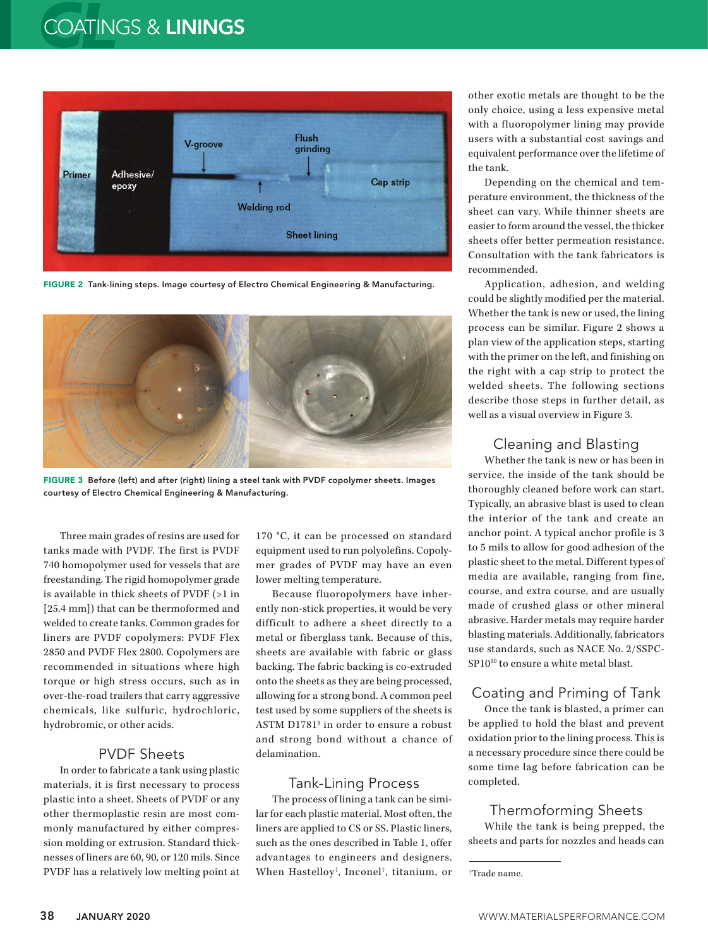## COATINGS & LININGS



FIGURE 2 Tank-lining steps. Image courtesy of Electro Chemical Engineering & Manufacturing.



FIGURE 3 Before (left) and after (right) lining a steel tank with PVDF copolymer sheets. Images courtesy of Electro Chemical Engineering & Manufacturing.

Three main grades of resins are used for tanks made with PVDF. The first is PVDF 740 homopolymer used for vessels that are freestanding. The rigid homopolymer grade is available in thick sheets of PVDF (>1 in [25.4 mm]) that can be thermoformed and welded to create tanks. Common grades for liners are PVDF copolymers: PVDF Flex 2850 and PVDF Flex 2800. Copolymers are recommended in situations where high torque or high stress occurs, such as in over-the-road trailers that carry aggressive chemicals, like sulfuric, hydrochloric, hydrobromic, or other acids.

#### PVDF Sheets

In order to fabricate a tank using plastic materials, it is first necessary to process plastic into a sheet. Sheets of PVDF or any other thermoplastic resin are most commonly manufactured by either compression molding or extrusion. Standard thicknesses of liners are 60, 90, or 120 mils. Since PVDF has a relatively low melting point at

170 °C, it can be processed on standard equipment used to run polyolefins. Copolymer grades of PVDF may have an even lower melting temperature.

Because fluoropolymers have inherently non-stick properties, it would be very difficult to adhere a sheet directly to a metal or fiberglass tank. Because of this, sheets are available with fabric or glass backing. The fabric backing is co-extruded onto the sheets as they are being processed, allowing for a strong bond. A common peel test used by some suppliers of the sheets is ASTM D1781<sup>9</sup> in order to ensure a robust and strong bond without a chance of delamination.

#### Tank-Lining Process

The process of lining a tank can be similar for each plastic material. Most often, the liners are applied to CS or SS. Plastic liners, such as the ones described in Table 1, offer advantages to engineers and designers. When Hastelloy† , Inconel† , titanium, or other exotic metals are thought to be the only choice, using a less expensive metal with a fluoropolymer lining may provide users with a substantial cost savings and equivalent performance over the lifetime of the tank.

Depending on the chemical and temperature environment, the thickness of the sheet can vary. While thinner sheets are easier to form around the vessel, the thicker sheets offer better permeation resistance. Consultation with the tank fabricators is recommended.

Application, adhesion, and welding could be slightly modified per the material. Whether the tank is new or used, the lining process can be similar. Figure 2 shows a plan view of the application steps, starting with the primer on the left, and finishing on the right with a cap strip to protect the welded sheets. The following sections describe those steps in further detail, as well as a visual overview in Figure 3.

#### Cleaning and Blasting

Whether the tank is new or has been in service, the inside of the tank should be thoroughly cleaned before work can start. Typically, an abrasive blast is used to clean the interior of the tank and create an anchor point. A typical anchor profile is 3 to 5 mils to allow for good adhesion of the plastic sheet to the metal. Different types of media are available, ranging from fine, course, and extra course, and are usually made of crushed glass or other mineral abrasive. Harder metals may require harder blasting materials. Additionally, fabricators use standards, such as NACE No. 2/SSPC- $SP10^{10}$  to ensure a white metal blast.

### Coating and Priming of Tank

Once the tank is blasted, a primer can be applied to hold the blast and prevent oxidation prior to the lining process. This is a necessary procedure since there could be some time lag before fabrication can be completed.

#### Thermoforming Sheets

While the tank is being prepped, the sheets and parts for nozzles and heads can

<sup>†</sup> Trade name.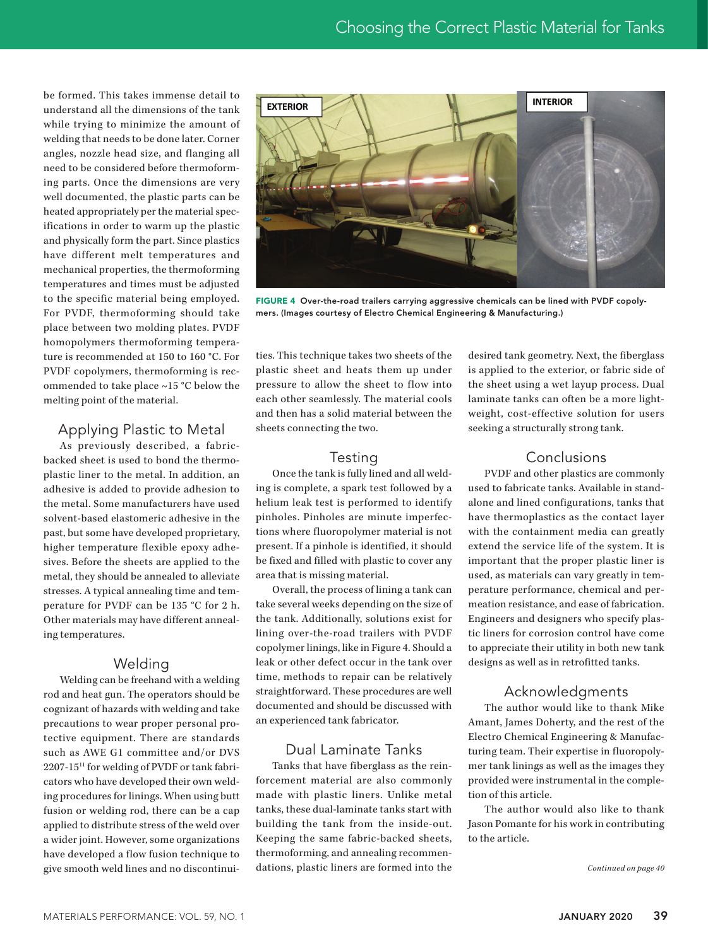be formed. This takes immense detail to understand all the dimensions of the tank while trying to minimize the amount of welding that needs to be done later. Corner angles, nozzle head size, and flanging all need to be considered before thermoforming parts. Once the dimensions are very well documented, the plastic parts can be heated appropriately per the material specifications in order to warm up the plastic and physically form the part. Since plastics have different melt temperatures and mechanical properties, the thermoforming temperatures and times must be adjusted to the specific material being employed. For PVDF, thermoforming should take place between two molding plates. PVDF homopolymers thermoforming temperature is recommended at 150 to 160 °C. For PVDF copolymers, thermoforming is recommended to take place ~15 °C below the melting point of the material.

#### Applying Plastic to Metal

As previously described, a fabricbacked sheet is used to bond the thermoplastic liner to the metal. In addition, an adhesive is added to provide adhesion to the metal. Some manufacturers have used solvent-based elastomeric adhesive in the past, but some have developed proprietary, higher temperature flexible epoxy adhesives. Before the sheets are applied to the metal, they should be annealed to alleviate stresses. A typical annealing time and temperature for PVDF can be 135 °C for 2 h. Other materials may have different annealing temperatures.

#### Welding

Welding can be freehand with a welding rod and heat gun. The operators should be cognizant of hazards with welding and take precautions to wear proper personal protective equipment. There are standards such as AWE G1 committee and/or DVS 2207-1511 for welding of PVDF or tank fabricators who have developed their own welding procedures for linings. When using butt fusion or welding rod, there can be a cap applied to distribute stress of the weld over a wider joint. However, some organizations have developed a flow fusion technique to give smooth weld lines and no discontinui-



FIGURE 4 Over-the-road trailers carrying aggressive chemicals can be lined with PVDF copolymers. (Images courtesy of Electro Chemical Engineering & Manufacturing.)

ties. This technique takes two sheets of the plastic sheet and heats them up under pressure to allow the sheet to flow into each other seamlessly. The material cools and then has a solid material between the sheets connecting the two.

#### **Testing**

Once the tank is fully lined and all welding is complete, a spark test followed by a helium leak test is performed to identify pinholes. Pinholes are minute imperfections where fluoropolymer material is not present. If a pinhole is identified, it should be fixed and filled with plastic to cover any area that is missing material.

Overall, the process of lining a tank can take several weeks depending on the size of the tank. Additionally, solutions exist for lining over-the-road trailers with PVDF copolymer linings, like in Figure 4. Should a leak or other defect occur in the tank over time, methods to repair can be relatively straightforward. These procedures are well documented and should be discussed with an experienced tank fabricator.

#### Dual Laminate Tanks

Tanks that have fiberglass as the reinforcement material are also commonly made with plastic liners. Unlike metal tanks, these dual-laminate tanks start with building the tank from the inside-out. Keeping the same fabric-backed sheets, thermoforming, and annealing recommendations, plastic liners are formed into the desired tank geometry. Next, the fiberglass is applied to the exterior, or fabric side of the sheet using a wet layup process. Dual laminate tanks can often be a more lightweight, cost-effective solution for users seeking a structurally strong tank.

#### Conclusions

PVDF and other plastics are commonly used to fabricate tanks. Available in standalone and lined configurations, tanks that have thermoplastics as the contact layer with the containment media can greatly extend the service life of the system. It is important that the proper plastic liner is used, as materials can vary greatly in temperature performance, chemical and permeation resistance, and ease of fabrication. Engineers and designers who specify plastic liners for corrosion control have come to appreciate their utility in both new tank designs as well as in retrofitted tanks.

#### Acknowledgments

The author would like to thank Mike Amant, James Doherty, and the rest of the Electro Chemical Engineering & Manufacturing team. Their expertise in fluoropolymer tank linings as well as the images they provided were instrumental in the completion of this article.

The author would also like to thank Jason Pomante for his work in contributing to the article.

*Continued on page 40*